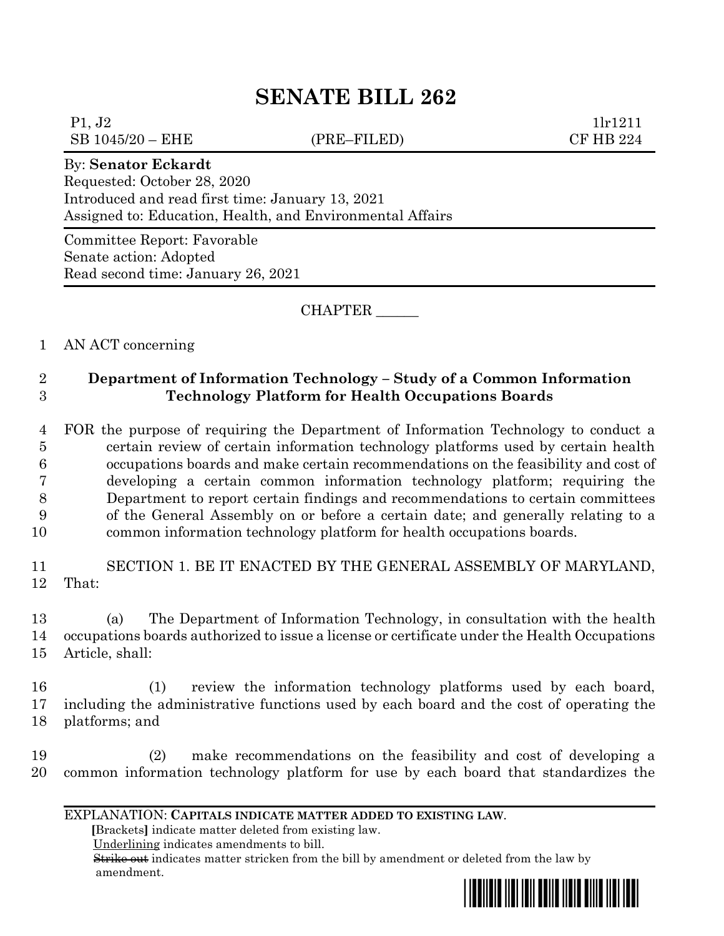# **SENATE BILL 262**

 $P1, J2$  1lr1211 SB 1045/20 – EHE (PRE–FILED) CF HB 224

### By: **Senator Eckardt**

Requested: October 28, 2020 Introduced and read first time: January 13, 2021 Assigned to: Education, Health, and Environmental Affairs

Committee Report: Favorable Senate action: Adopted Read second time: January 26, 2021

CHAPTER \_\_\_\_\_\_

# 1 AN ACT concerning

# 2 **Department of Information Technology – Study of a Common Information**  3 **Technology Platform for Health Occupations Boards**

 FOR the purpose of requiring the Department of Information Technology to conduct a certain review of certain information technology platforms used by certain health occupations boards and make certain recommendations on the feasibility and cost of developing a certain common information technology platform; requiring the Department to report certain findings and recommendations to certain committees of the General Assembly on or before a certain date; and generally relating to a common information technology platform for health occupations boards.

11 SECTION 1. BE IT ENACTED BY THE GENERAL ASSEMBLY OF MARYLAND, 12 That:

13 (a) The Department of Information Technology, in consultation with the health 14 occupations boards authorized to issue a license or certificate under the Health Occupations 15 Article, shall:

16 (1) review the information technology platforms used by each board, 17 including the administrative functions used by each board and the cost of operating the 18 platforms; and

19 (2) make recommendations on the feasibility and cost of developing a 20 common information technology platform for use by each board that standardizes the

#### EXPLANATION: **CAPITALS INDICATE MATTER ADDED TO EXISTING LAW**.

 **[**Brackets**]** indicate matter deleted from existing law.

Underlining indicates amendments to bill.

 Strike out indicates matter stricken from the bill by amendment or deleted from the law by amendment.